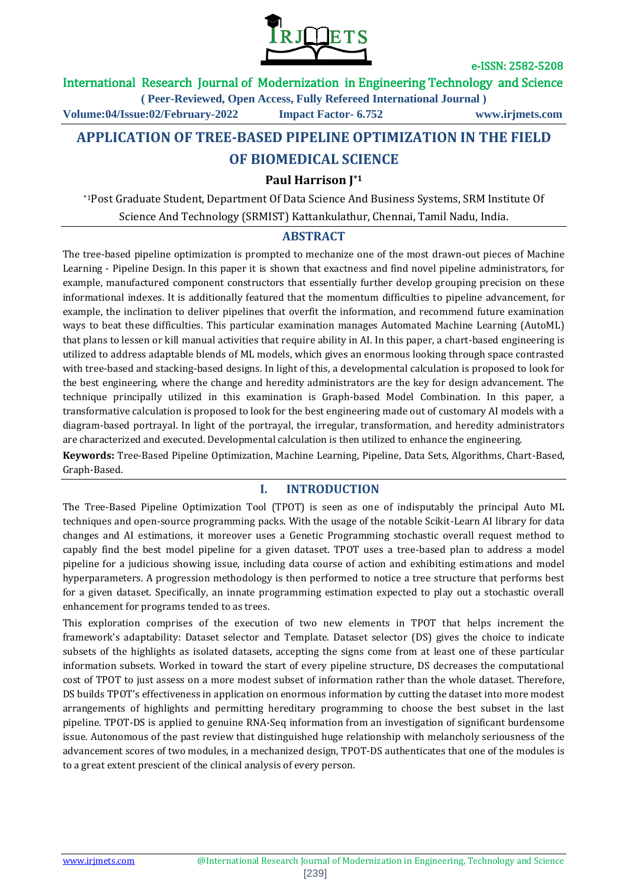

### International Research Journal of Modernization in Engineering Technology and Science

**( Peer-Reviewed, Open Access, Fully Refereed International Journal )**

**Volume:04/Issue:02/February-2022 Impact Factor- 6.752 www.irjmets.com**

# **APPLICATION OF TREE-BASED PIPELINE OPTIMIZATION IN THE FIELD**

## **OF BIOMEDICAL SCIENCE**

**Paul Harrison J\*1**

\*1Post Graduate Student, Department Of Data Science And Business Systems, SRM Institute Of Science And Technology (SRMIST) Kattankulathur, Chennai, Tamil Nadu, India.

### **ABSTRACT**

The tree-based pipeline optimization is prompted to mechanize one of the most drawn-out pieces of Machine Learning - Pipeline Design. In this paper it is shown that exactness and find novel pipeline administrators, for example, manufactured component constructors that essentially further develop grouping precision on these informational indexes. It is additionally featured that the momentum difficulties to pipeline advancement, for example, the inclination to deliver pipelines that overfit the information, and recommend future examination ways to beat these difficulties. This particular examination manages Automated Machine Learning (AutoML) that plans to lessen or kill manual activities that require ability in AI. In this paper, a chart-based engineering is utilized to address adaptable blends of ML models, which gives an enormous looking through space contrasted with tree-based and stacking-based designs. In light of this, a developmental calculation is proposed to look for the best engineering, where the change and heredity administrators are the key for design advancement. The technique principally utilized in this examination is Graph-based Model Combination. In this paper, a transformative calculation is proposed to look for the best engineering made out of customary AI models with a diagram-based portrayal. In light of the portrayal, the irregular, transformation, and heredity administrators are characterized and executed. Developmental calculation is then utilized to enhance the engineering.

**Keywords:** Tree-Based Pipeline Optimization, Machine Learning, Pipeline, Data Sets, Algorithms, Chart-Based, Graph-Based.

### **I. INTRODUCTION**

The Tree-Based Pipeline Optimization Tool (TPOT) is seen as one of indisputably the principal Auto ML techniques and open-source programming packs. With the usage of the notable Scikit-Learn AI library for data changes and AI estimations, it moreover uses a Genetic Programming stochastic overall request method to capably find the best model pipeline for a given dataset. TPOT uses a tree-based plan to address a model pipeline for a judicious showing issue, including data course of action and exhibiting estimations and model hyperparameters. A progression methodology is then performed to notice a tree structure that performs best for a given dataset. Specifically, an innate programming estimation expected to play out a stochastic overall enhancement for programs tended to as trees.

This exploration comprises of the execution of two new elements in TPOT that helps increment the framework's adaptability: Dataset selector and Template. Dataset selector (DS) gives the choice to indicate subsets of the highlights as isolated datasets, accepting the signs come from at least one of these particular information subsets. Worked in toward the start of every pipeline structure, DS decreases the computational cost of TPOT to just assess on a more modest subset of information rather than the whole dataset. Therefore, DS builds TPOT's effectiveness in application on enormous information by cutting the dataset into more modest arrangements of highlights and permitting hereditary programming to choose the best subset in the last pipeline. TPOT-DS is applied to genuine RNA-Seq information from an investigation of significant burdensome issue. Autonomous of the past review that distinguished huge relationship with melancholy seriousness of the advancement scores of two modules, in a mechanized design, TPOT-DS authenticates that one of the modules is to a great extent prescient of the clinical analysis of every person.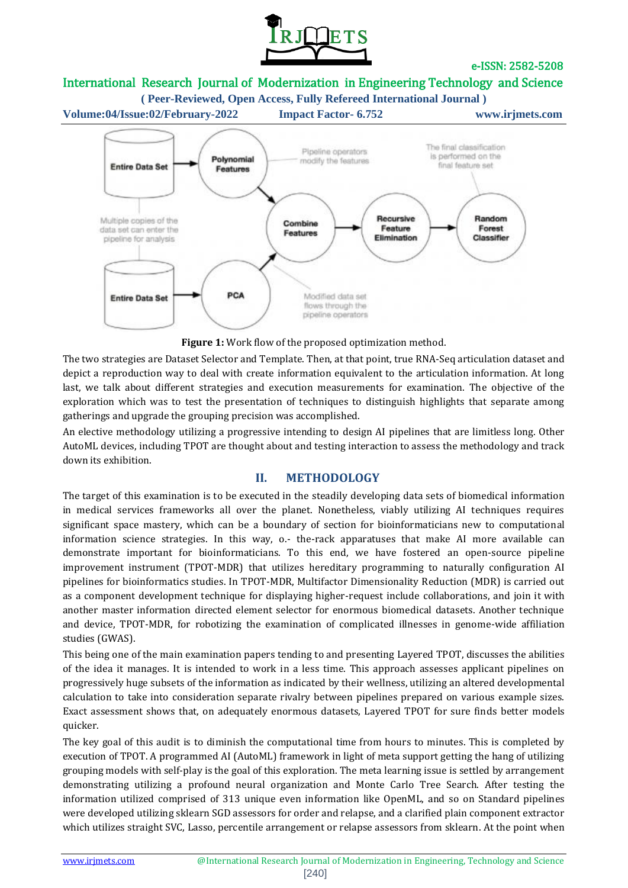

## International Research Journal of Modernization in Engineering Technology and Science



**Figure 1:** Work flow of the proposed optimization method.

The two strategies are Dataset Selector and Template. Then, at that point, true RNA-Seq articulation dataset and depict a reproduction way to deal with create information equivalent to the articulation information. At long last, we talk about different strategies and execution measurements for examination. The objective of the exploration which was to test the presentation of techniques to distinguish highlights that separate among gatherings and upgrade the grouping precision was accomplished.

An elective methodology utilizing a progressive intending to design AI pipelines that are limitless long. Other AutoML devices, including TPOT are thought about and testing interaction to assess the methodology and track down its exhibition.

### **II. METHODOLOGY**

The target of this examination is to be executed in the steadily developing data sets of biomedical information in medical services frameworks all over the planet. Nonetheless, viably utilizing AI techniques requires significant space mastery, which can be a boundary of section for bioinformaticians new to computational information science strategies. In this way, o.- the-rack apparatuses that make AI more available can demonstrate important for bioinformaticians. To this end, we have fostered an open-source pipeline improvement instrument (TPOT-MDR) that utilizes hereditary programming to naturally configuration AI pipelines for bioinformatics studies. In TPOT-MDR, Multifactor Dimensionality Reduction (MDR) is carried out as a component development technique for displaying higher-request include collaborations, and join it with another master information directed element selector for enormous biomedical datasets. Another technique and device, TPOT-MDR, for robotizing the examination of complicated illnesses in genome-wide affiliation studies (GWAS).

This being one of the main examination papers tending to and presenting Layered TPOT, discusses the abilities of the idea it manages. It is intended to work in a less time. This approach assesses applicant pipelines on progressively huge subsets of the information as indicated by their wellness, utilizing an altered developmental calculation to take into consideration separate rivalry between pipelines prepared on various example sizes. Exact assessment shows that, on adequately enormous datasets, Layered TPOT for sure finds better models quicker.

The key goal of this audit is to diminish the computational time from hours to minutes. This is completed by execution of TPOT. A programmed AI (AutoML) framework in light of meta support getting the hang of utilizing grouping models with self-play is the goal of this exploration. The meta learning issue is settled by arrangement demonstrating utilizing a profound neural organization and Monte Carlo Tree Search. After testing the information utilized comprised of 313 unique even information like OpenML, and so on Standard pipelines were developed utilizing sklearn SGD assessors for order and relapse, and a clarified plain component extractor which utilizes straight SVC, Lasso, percentile arrangement or relapse assessors from sklearn. At the point when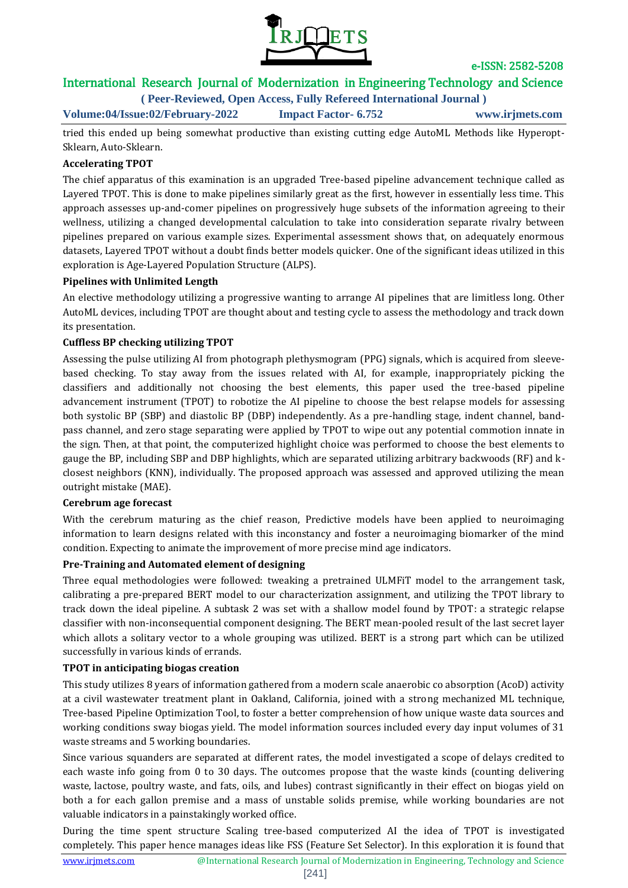

# International Research Journal of Modernization in Engineering Technology and Science

**( Peer-Reviewed, Open Access, Fully Refereed International Journal )**

**Volume:04/Issue:02/February-2022 Impact Factor- 6.752 www.irjmets.com**

tried this ended up being somewhat productive than existing cutting edge AutoML Methods like Hyperopt-Sklearn, Auto-Sklearn.

#### **Accelerating TPOT**

The chief apparatus of this examination is an upgraded Tree-based pipeline advancement technique called as Layered TPOT. This is done to make pipelines similarly great as the first, however in essentially less time. This approach assesses up-and-comer pipelines on progressively huge subsets of the information agreeing to their wellness, utilizing a changed developmental calculation to take into consideration separate rivalry between pipelines prepared on various example sizes. Experimental assessment shows that, on adequately enormous datasets, Layered TPOT without a doubt finds better models quicker. One of the significant ideas utilized in this exploration is Age-Layered Population Structure (ALPS).

#### **Pipelines with Unlimited Length**

An elective methodology utilizing a progressive wanting to arrange AI pipelines that are limitless long. Other AutoML devices, including TPOT are thought about and testing cycle to assess the methodology and track down its presentation.

#### **Cuffless BP checking utilizing TPOT**

Assessing the pulse utilizing AI from photograph plethysmogram (PPG) signals, which is acquired from sleevebased checking. To stay away from the issues related with AI, for example, inappropriately picking the classifiers and additionally not choosing the best elements, this paper used the tree-based pipeline advancement instrument (TPOT) to robotize the AI pipeline to choose the best relapse models for assessing both systolic BP (SBP) and diastolic BP (DBP) independently. As a pre-handling stage, indent channel, bandpass channel, and zero stage separating were applied by TPOT to wipe out any potential commotion innate in the sign. Then, at that point, the computerized highlight choice was performed to choose the best elements to gauge the BP, including SBP and DBP highlights, which are separated utilizing arbitrary backwoods (RF) and kclosest neighbors (KNN), individually. The proposed approach was assessed and approved utilizing the mean outright mistake (MAE).

#### **Cerebrum age forecast**

With the cerebrum maturing as the chief reason, Predictive models have been applied to neuroimaging information to learn designs related with this inconstancy and foster a neuroimaging biomarker of the mind condition. Expecting to animate the improvement of more precise mind age indicators.

#### **Pre-Training and Automated element of designing**

Three equal methodologies were followed: tweaking a pretrained ULMFiT model to the arrangement task, calibrating a pre-prepared BERT model to our characterization assignment, and utilizing the TPOT library to track down the ideal pipeline. A subtask 2 was set with a shallow model found by TPOT: a strategic relapse classifier with non-inconsequential component designing. The BERT mean-pooled result of the last secret layer which allots a solitary vector to a whole grouping was utilized. BERT is a strong part which can be utilized successfully in various kinds of errands.

#### **TPOT in anticipating biogas creation**

This study utilizes 8 years of information gathered from a modern scale anaerobic co absorption (AcoD) activity at a civil wastewater treatment plant in Oakland, California, joined with a strong mechanized ML technique, Tree-based Pipeline Optimization Tool, to foster a better comprehension of how unique waste data sources and working conditions sway biogas yield. The model information sources included every day input volumes of 31 waste streams and 5 working boundaries.

Since various squanders are separated at different rates, the model investigated a scope of delays credited to each waste info going from 0 to 30 days. The outcomes propose that the waste kinds (counting delivering waste, lactose, poultry waste, and fats, oils, and lubes) contrast significantly in their effect on biogas yield on both a for each gallon premise and a mass of unstable solids premise, while working boundaries are not valuable indicators in a painstakingly worked office.

During the time spent structure Scaling tree-based computerized AI the idea of TPOT is investigated completely. This paper hence manages ideas like FSS (Feature Set Selector). In this exploration it is found that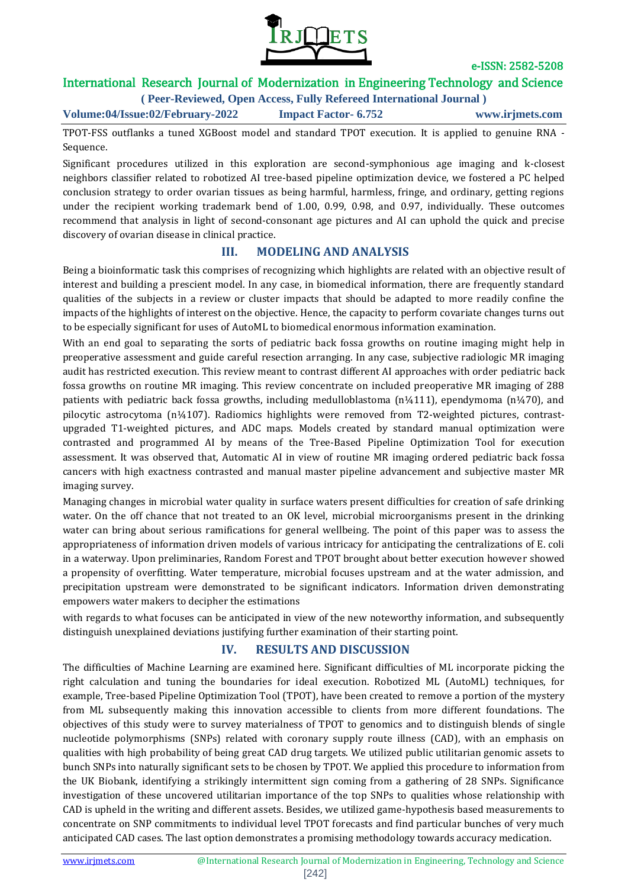

# International Research Journal of Modernization in Engineering Technology and Science

**( Peer-Reviewed, Open Access, Fully Refereed International Journal )**

**Volume:04/Issue:02/February-2022 Impact Factor- 6.752 www.irjmets.com**

TPOT-FSS outflanks a tuned XGBoost model and standard TPOT execution. It is applied to genuine RNA - Sequence.

Significant procedures utilized in this exploration are second-symphonious age imaging and k-closest neighbors classifier related to robotized AI tree-based pipeline optimization device, we fostered a PC helped conclusion strategy to order ovarian tissues as being harmful, harmless, fringe, and ordinary, getting regions under the recipient working trademark bend of 1.00, 0.99, 0.98, and 0.97, individually. These outcomes recommend that analysis in light of second-consonant age pictures and AI can uphold the quick and precise discovery of ovarian disease in clinical practice.

## **III. MODELING AND ANALYSIS**

Being a bioinformatic task this comprises of recognizing which highlights are related with an objective result of interest and building a prescient model. In any case, in biomedical information, there are frequently standard qualities of the subjects in a review or cluster impacts that should be adapted to more readily confine the impacts of the highlights of interest on the objective. Hence, the capacity to perform covariate changes turns out to be especially significant for uses of AutoML to biomedical enormous information examination.

With an end goal to separating the sorts of pediatric back fossa growths on routine imaging might help in preoperative assessment and guide careful resection arranging. In any case, subjective radiologic MR imaging audit has restricted execution. This review meant to contrast different AI approaches with order pediatric back fossa growths on routine MR imaging. This review concentrate on included preoperative MR imaging of 288 patients with pediatric back fossa growths, including medulloblastoma  $(n\frac{1}{4}111)$ , ependymoma  $(n\frac{1}{4}70)$ , and pilocytic astrocytoma (n¼107). Radiomics highlights were removed from T2-weighted pictures, contrastupgraded T1-weighted pictures, and ADC maps. Models created by standard manual optimization were contrasted and programmed AI by means of the Tree-Based Pipeline Optimization Tool for execution assessment. It was observed that, Automatic AI in view of routine MR imaging ordered pediatric back fossa cancers with high exactness contrasted and manual master pipeline advancement and subjective master MR imaging survey.

Managing changes in microbial water quality in surface waters present difficulties for creation of safe drinking water. On the off chance that not treated to an OK level, microbial microorganisms present in the drinking water can bring about serious ramifications for general wellbeing. The point of this paper was to assess the appropriateness of information driven models of various intricacy for anticipating the centralizations of E. coli in a waterway. Upon preliminaries, Random Forest and TPOT brought about better execution however showed a propensity of overfitting. Water temperature, microbial focuses upstream and at the water admission, and precipitation upstream were demonstrated to be significant indicators. Information driven demonstrating empowers water makers to decipher the estimations

with regards to what focuses can be anticipated in view of the new noteworthy information, and subsequently distinguish unexplained deviations justifying further examination of their starting point.

## **IV. RESULTS AND DISCUSSION**

The difficulties of Machine Learning are examined here. Significant difficulties of ML incorporate picking the right calculation and tuning the boundaries for ideal execution. Robotized ML (AutoML) techniques, for example, Tree-based Pipeline Optimization Tool (TPOT), have been created to remove a portion of the mystery from ML subsequently making this innovation accessible to clients from more different foundations. The objectives of this study were to survey materialness of TPOT to genomics and to distinguish blends of single nucleotide polymorphisms (SNPs) related with coronary supply route illness (CAD), with an emphasis on qualities with high probability of being great CAD drug targets. We utilized public utilitarian genomic assets to bunch SNPs into naturally significant sets to be chosen by TPOT. We applied this procedure to information from the UK Biobank, identifying a strikingly intermittent sign coming from a gathering of 28 SNPs. Significance investigation of these uncovered utilitarian importance of the top SNPs to qualities whose relationship with CAD is upheld in the writing and different assets. Besides, we utilized game-hypothesis based measurements to concentrate on SNP commitments to individual level TPOT forecasts and find particular bunches of very much anticipated CAD cases. The last option demonstrates a promising methodology towards accuracy medication.